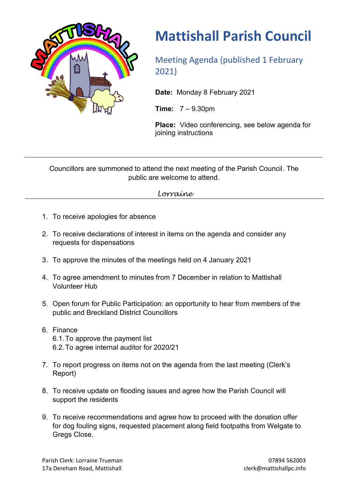

## **Mattishall Parish Council**

Meeting Agenda (published 1 February 2021)

**Date:** Monday 8 February 2021

**Time:** 7 – 9.30pm

**Place:** Video conferencing, see below agenda for joining instructions

Councillors are summoned to attend the next meeting of the Parish Council. The public are welcome to attend.

*Lorraine*

- 1. To receive apologies for absence
- 2. To receive declarations of interest in items on the agenda and consider any requests for dispensations
- 3. To approve the minutes of the meetings held on 4 January 2021
- 4. To agree amendment to minutes from 7 December in relation to Mattishall Volunteer Hub
- 5. Open forum for Public Participation: an opportunity to hear from members of the public and Breckland District Councillors
- 6. Finance 6.1.To approve the payment list 6.2.To agree internal auditor for 2020/21
- 7. To report progress on items not on the agenda from the last meeting (Clerk's Report)
- 8. To receive update on flooding issues and agree how the Parish Council will support the residents
- 9. To receive recommendations and agree how to proceed with the donation offer for dog fouling signs, requested placement along field footpaths from Welgate to Greas Close.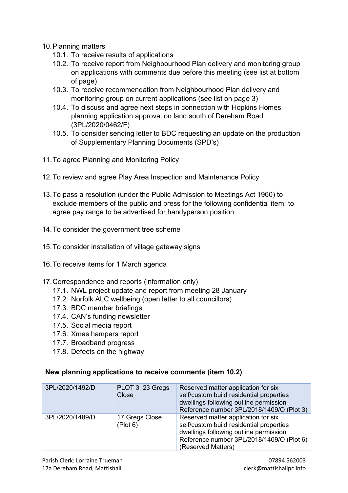- 10.Planning matters
	- 10.1. To receive results of applications
	- 10.2. To receive report from Neighbourhood Plan delivery and monitoring group on applications with comments due before this meeting (see list at bottom of page)
	- 10.3. To receive recommendation from Neighbourhood Plan delivery and monitoring group on current applications (see list on page 3)
	- 10.4. To discuss and agree next steps in connection with Hopkins Homes planning application approval on land south of Dereham Road (3PL/2020/0462/F)
	- 10.5. To consider sending letter to BDC requesting an update on the production of Supplementary Planning Documents (SPD's)
- 11.To agree Planning and Monitoring Policy
- 12.To review and agree Play Area Inspection and Maintenance Policy
- 13.To pass a resolution (under the Public Admission to Meetings Act 1960) to exclude members of the public and press for the following confidential item: to agree pay range to be advertised for handyperson position
- 14.To consider the government tree scheme
- 15.To consider installation of village gateway signs
- 16.To receive items for 1 March agenda
- 17.Correspondence and reports (information only)
	- 17.1. NWL project update and report from meeting 28 January
	- 17.2. Norfolk ALC wellbeing (open letter to all councillors)
	- 17.3. BDC member briefings
	- 17.4. CAN's funding newsletter
	- 17.5. Social media report
	- 17.6. Xmas hampers report
	- 17.7. Broadband progress
	- 17.8. Defects on the highway

## **New planning applications to receive comments (item 10.2)**

| 3PL/2020/1492/D | PLOT 3, 23 Gregs<br>Close  | Reserved matter application for six<br>self/custom build residential properties<br>dwellings following outline permission<br>Reference number 3PL/2018/1409/O (Plot 3)                       |
|-----------------|----------------------------|----------------------------------------------------------------------------------------------------------------------------------------------------------------------------------------------|
| 3PL/2020/1489/D | 17 Gregs Close<br>(Plot 6) | Reserved matter application for six<br>self/custom build residential properties<br>dwellings following outline permission<br>Reference number 3PL/2018/1409/O (Plot 6)<br>(Reserved Matters) |